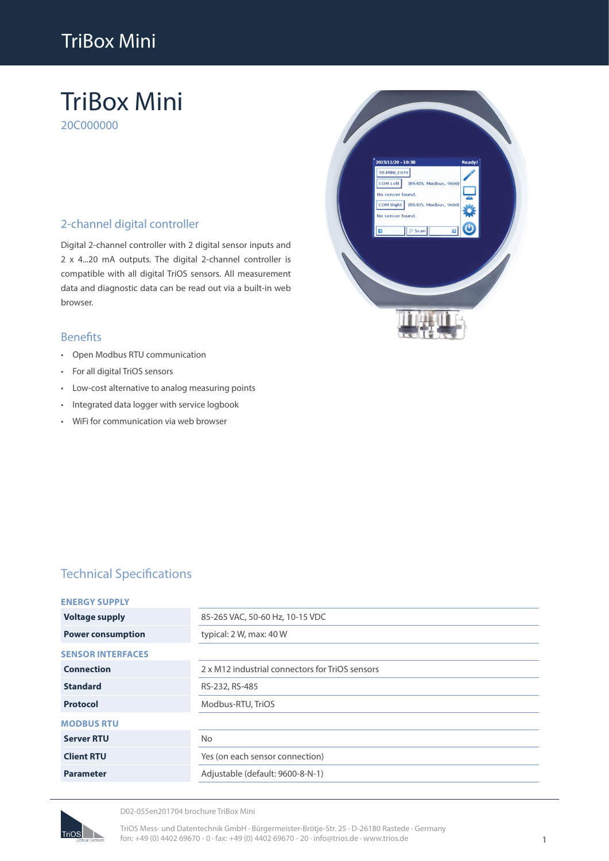# TriBox Mini

# TriBox Mini

20C000000

### 2-channel digital controller

Digital 2-channel controller with 2 digital sensor inputs and 2 x 4...20 mA outputs. The digital 2-channel controller is compatible with all digital TriOS sensors. All measurement data and diagnostic data can be read out via a built-in web browser.

#### Benefits

- Open Modbus RTU communication
- For all digital TriOS sensors
- Low-cost alternative to analog measuring points
- Integrated data logger with service logbook
- WiFi for communication via web browser



## Technical Specifications

|  | <b>ENERGY SUPPLY</b> |  |  |
|--|----------------------|--|--|
|  |                      |  |  |

| <b>Voltage supply</b>    | 85-265 VAC, 50-60 Hz, 10-15 VDC                 |
|--------------------------|-------------------------------------------------|
| <b>Power consumption</b> | typical: 2 W, max: 40 W                         |
| <b>SENSOR INTERFACES</b> |                                                 |
| <b>Connection</b>        | 2 x M12 industrial connectors for TriOS sensors |
| <b>Standard</b>          | RS-232, RS-485                                  |
| <b>Protocol</b>          | Modbus-RTU, TriOS                               |
| <b>MODBUS RTU</b>        |                                                 |
| <b>Server RTU</b>        | No.                                             |
| <b>Client RTU</b>        | Yes (on each sensor connection)                 |
| <b>Parameter</b>         | Adjustable (default: 9600-8-N-1)                |
|                          |                                                 |



D02-055en201704 brochure TriBox Mini

TriOS Mess- und Datentechnik GmbH · Bürgermeister-Brötje-Str. 25 · D-26180 Rastede · Germany fon: +49 (0) 4402 69670 - 0 · fax: +49 (0) 4402 69670 - 20 · info@trios.de · www.trios.de